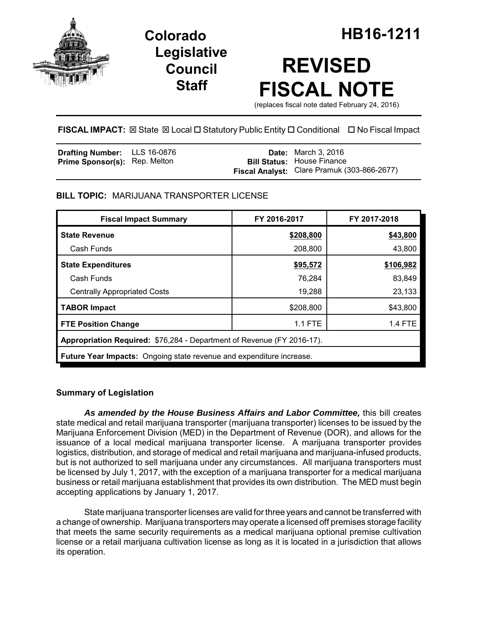

**Legislative Council Staff**

# **REVISED FISCAL NOTE**

(replaces fiscal note dated February 24, 2016)

# **FISCAL IMPACT:** ⊠ State ⊠ Local □ Statutory Public Entity □ Conditional □ No Fiscal Impact

| <b>Drafting Number:</b> LLS 16-0876  |  | <b>Date:</b> March 3, 2016                                                       |
|--------------------------------------|--|----------------------------------------------------------------------------------|
| <b>Prime Sponsor(s):</b> Rep. Melton |  | <b>Bill Status: House Finance</b><br>Fiscal Analyst: Clare Pramuk (303-866-2677) |

# **BILL TOPIC:** MARIJUANA TRANSPORTER LICENSE

| <b>Fiscal Impact Summary</b>                                           | FY 2016-2017 | FY 2017-2018 |  |  |  |
|------------------------------------------------------------------------|--------------|--------------|--|--|--|
| <b>State Revenue</b>                                                   | \$208,800    | \$43,800     |  |  |  |
| Cash Funds                                                             | 208,800      | 43,800       |  |  |  |
| <b>State Expenditures</b>                                              | \$95,572     | \$106,982    |  |  |  |
| Cash Funds                                                             | 76,284       | 83,849       |  |  |  |
| <b>Centrally Appropriated Costs</b>                                    | 19,288       | 23,133       |  |  |  |
| <b>TABOR Impact</b>                                                    | \$208,800    | \$43,800     |  |  |  |
| <b>FTE Position Change</b>                                             | $1.1$ FTE    | 1.4 FTE      |  |  |  |
| Appropriation Required: \$76,284 - Department of Revenue (FY 2016-17). |              |              |  |  |  |
| Future Year Impacts: Ongoing state revenue and expenditure increase.   |              |              |  |  |  |

## **Summary of Legislation**

*As amended by the House Business Affairs and Labor Committee,* this bill creates state medical and retail marijuana transporter (marijuana transporter) licenses to be issued by the Marijuana Enforcement Division (MED) in the Department of Revenue (DOR), and allows for the issuance of a local medical marijuana transporter license. A marijuana transporter provides logistics, distribution, and storage of medical and retail marijuana and marijuana-infused products, but is not authorized to sell marijuana under any circumstances. All marijuana transporters must be licensed by July 1, 2017, with the exception of a marijuana transporter for a medical marijuana business or retail marijuana establishment that provides its own distribution. The MED must begin accepting applications by January 1, 2017.

State marijuana transporter licenses are valid for three years and cannot be transferred with a change of ownership. Marijuana transporters may operate a licensed off premises storage facility that meets the same security requirements as a medical marijuana optional premise cultivation license or a retail marijuana cultivation license as long as it is located in a jurisdiction that allows its operation.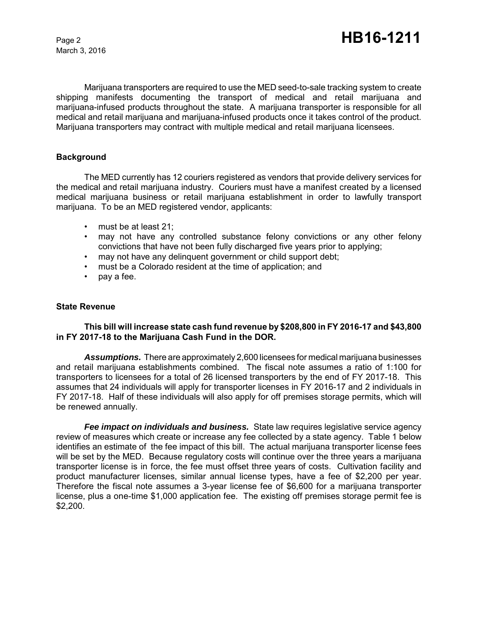Marijuana transporters are required to use the MED seed-to-sale tracking system to create shipping manifests documenting the transport of medical and retail marijuana and marijuana-infused products throughout the state. A marijuana transporter is responsible for all medical and retail marijuana and marijuana-infused products once it takes control of the product. Marijuana transporters may contract with multiple medical and retail marijuana licensees.

## **Background**

The MED currently has 12 couriers registered as vendors that provide delivery services for the medical and retail marijuana industry. Couriers must have a manifest created by a licensed medical marijuana business or retail marijuana establishment in order to lawfully transport marijuana. To be an MED registered vendor, applicants:

- must be at least 21;
- may not have any controlled substance felony convictions or any other felony convictions that have not been fully discharged five years prior to applying;
- may not have any delinquent government or child support debt;
- must be a Colorado resident at the time of application; and
- pay a fee.

#### **State Revenue**

## **This bill will increase state cash fund revenue by \$208,800 in FY 2016-17 and \$43,800 in FY 2017-18 to the Marijuana Cash Fund in the DOR.**

*Assumptions.* There are approximately 2,600 licensees for medical marijuana businesses and retail marijuana establishments combined. The fiscal note assumes a ratio of 1:100 for transporters to licensees for a total of 26 licensed transporters by the end of FY 2017-18. This assumes that 24 individuals will apply for transporter licenses in FY 2016-17 and 2 individuals in FY 2017-18. Half of these individuals will also apply for off premises storage permits, which will be renewed annually.

*Fee impact on individuals and business.* State law requires legislative service agency review of measures which create or increase any fee collected by a state agency. Table 1 below identifies an estimate of the fee impact of this bill. The actual marijuana transporter license fees will be set by the MED. Because regulatory costs will continue over the three years a marijuana transporter license is in force, the fee must offset three years of costs. Cultivation facility and product manufacturer licenses, similar annual license types, have a fee of \$2,200 per year. Therefore the fiscal note assumes a 3-year license fee of \$6,600 for a marijuana transporter license, plus a one-time \$1,000 application fee. The existing off premises storage permit fee is \$2,200.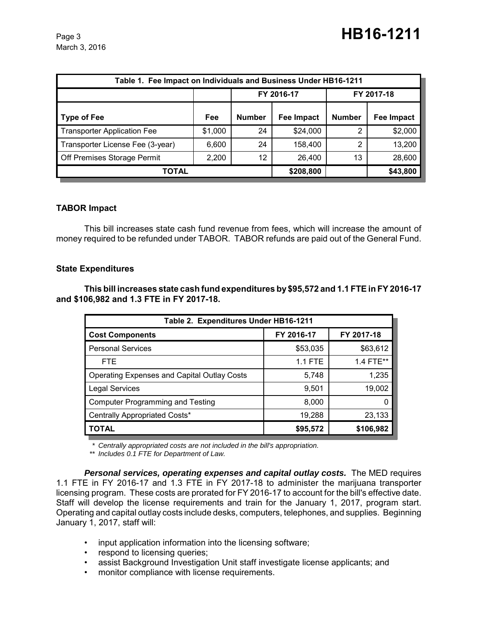| Table 1. Fee Impact on Individuals and Business Under HB16-1211 |         |               |                   |               |            |  |
|-----------------------------------------------------------------|---------|---------------|-------------------|---------------|------------|--|
|                                                                 |         | FY 2016-17    |                   | FY 2017-18    |            |  |
| Type of Fee                                                     | Fee     | <b>Number</b> | <b>Fee Impact</b> | <b>Number</b> | Fee Impact |  |
| <b>Transporter Application Fee</b>                              | \$1,000 | 24            | \$24,000          | 2             | \$2,000    |  |
| Transporter License Fee (3-year)                                | 6,600   | 24            | 158,400           | 2             | 13,200     |  |
| Off Premises Storage Permit                                     | 2,200   | 12            | 26,400            | 13            | 28,600     |  |
| TOTAL                                                           |         |               | \$208,800         |               | \$43,800   |  |

# **TABOR Impact**

This bill increases state cash fund revenue from fees, which will increase the amount of money required to be refunded under TABOR. TABOR refunds are paid out of the General Fund.

## **State Expenditures**

**This bill increases state cash fund expenditures by \$95,572 and 1.1 FTE in FY 2016-17 and \$106,982 and 1.3 FTE in FY 2017-18.** 

| Table 2. Expenditures Under HB16-1211              |                |            |  |  |  |
|----------------------------------------------------|----------------|------------|--|--|--|
| <b>Cost Components</b>                             | FY 2016-17     | FY 2017-18 |  |  |  |
| <b>Personal Services</b>                           | \$53,035       | \$63,612   |  |  |  |
| <b>FTE</b>                                         | <b>1.1 FTE</b> | 1.4 FTE**  |  |  |  |
| <b>Operating Expenses and Capital Outlay Costs</b> | 5,748          | 1,235      |  |  |  |
| <b>Legal Services</b>                              | 9,501          | 19,002     |  |  |  |
| <b>Computer Programming and Testing</b>            | 8,000          |            |  |  |  |
| Centrally Appropriated Costs*                      | 19,288         | 23,133     |  |  |  |
| <b>TOTAL</b>                                       | \$95,572       | \$106,982  |  |  |  |

*\* Centrally appropriated costs are not included in the bill's appropriation.*

*\*\* Includes 0.1 FTE for Department of Law.*

*Personal services, operating expenses and capital outlay costs.* The MED requires 1.1 FTE in FY 2016-17 and 1.3 FTE in FY 2017-18 to administer the marijuana transporter licensing program. These costs are prorated for FY 2016-17 to account for the bill's effective date. Staff will develop the license requirements and train for the January 1, 2017, program start. Operating and capital outlay costs include desks, computers, telephones, and supplies. Beginning January 1, 2017, staff will:

- input application information into the licensing software;
- respond to licensing queries;
- assist Background Investigation Unit staff investigate license applicants; and
- monitor compliance with license requirements.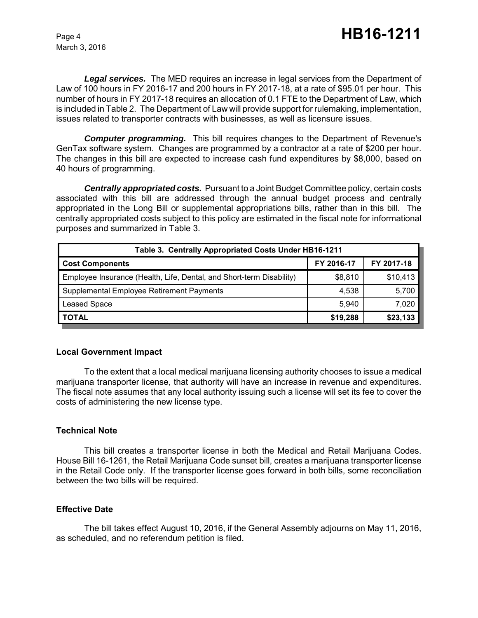*Legal services.* The MED requires an increase in legal services from the Department of Law of 100 hours in FY 2016-17 and 200 hours in FY 2017-18, at a rate of \$95.01 per hour. This number of hours in FY 2017-18 requires an allocation of 0.1 FTE to the Department of Law, which is included in Table 2. The Department of Law will provide support for rulemaking, implementation, issues related to transporter contracts with businesses, as well as licensure issues.

*Computer programming.* This bill requires changes to the Department of Revenue's GenTax software system. Changes are programmed by a contractor at a rate of \$200 per hour. The changes in this bill are expected to increase cash fund expenditures by \$8,000, based on 40 hours of programming.

*Centrally appropriated costs.* Pursuant to a Joint Budget Committee policy, certain costs associated with this bill are addressed through the annual budget process and centrally appropriated in the Long Bill or supplemental appropriations bills, rather than in this bill. The centrally appropriated costs subject to this policy are estimated in the fiscal note for informational purposes and summarized in Table 3.

| Table 3. Centrally Appropriated Costs Under HB16-1211                |            |            |  |  |
|----------------------------------------------------------------------|------------|------------|--|--|
| <b>Cost Components</b>                                               | FY 2016-17 | FY 2017-18 |  |  |
| Employee Insurance (Health, Life, Dental, and Short-term Disability) | \$8,810    | \$10,413   |  |  |
| Supplemental Employee Retirement Payments                            | 4,538      | 5,700      |  |  |
| Leased Space                                                         | 5.940      | 7,020      |  |  |
| <b>TOTAL</b>                                                         | \$19,288   | \$23,133   |  |  |

#### **Local Government Impact**

To the extent that a local medical marijuana licensing authority chooses to issue a medical marijuana transporter license, that authority will have an increase in revenue and expenditures. The fiscal note assumes that any local authority issuing such a license will set its fee to cover the costs of administering the new license type.

#### **Technical Note**

This bill creates a transporter license in both the Medical and Retail Marijuana Codes. House Bill 16-1261, the Retail Marijuana Code sunset bill, creates a marijuana transporter license in the Retail Code only. If the transporter license goes forward in both bills, some reconciliation between the two bills will be required.

#### **Effective Date**

The bill takes effect August 10, 2016, if the General Assembly adjourns on May 11, 2016, as scheduled, and no referendum petition is filed.